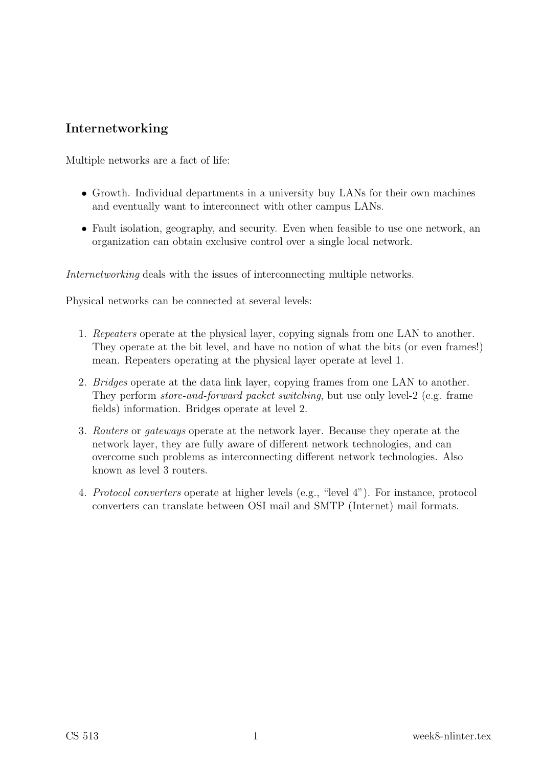## Internetworking

Multiple networks are a fact of life:

- Growth. Individual departments in a university buy LANs for their own machines and eventually want to interconnect with other campus LANs.
- Fault isolation, geography, and security. Even when feasible to use one network, an organization can obtain exclusive control over a single local network.

Internetworking deals with the issues of interconnecting multiple networks.

Physical networks can be connected at several levels:

- 1. Repeaters operate at the physical layer, copying signals from one LAN to another. They operate at the bit level, and have no notion of what the bits (or even frames!) mean. Repeaters operating at the physical layer operate at level 1.
- 2. Bridges operate at the data link layer, copying frames from one LAN to another. They perform *store-and-forward packet switching*, but use only level-2 (e.g. frame fields) information. Bridges operate at level 2.
- 3. Routers or gateways operate at the network layer. Because they operate at the network layer, they are fully aware of different network technologies, and can overcome such problems as interconnecting different network technologies. Also known as level 3 routers.
- 4. Protocol converters operate at higher levels (e.g., "level 4"). For instance, protocol converters can translate between OSI mail and SMTP (Internet) mail formats.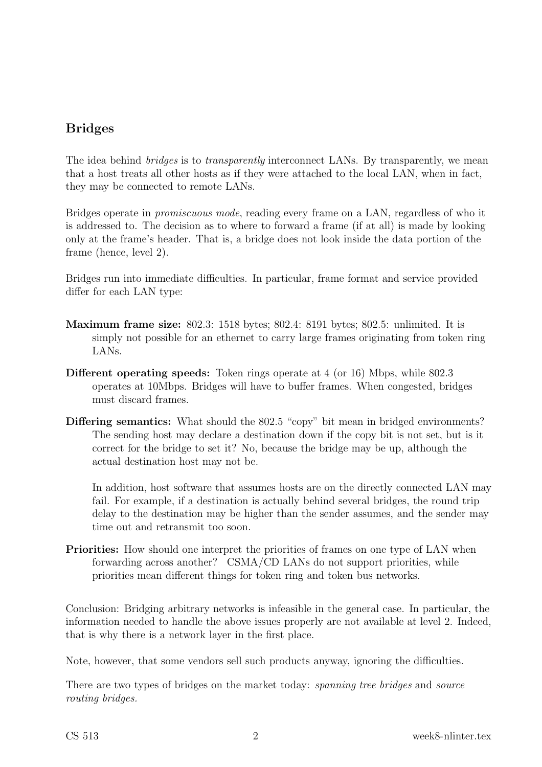# Bridges

The idea behind *bridges* is to *transparently* interconnect LANs. By transparently, we mean that a host treats all other hosts as if they were attached to the local LAN, when in fact, they may be connected to remote LANs.

Bridges operate in promiscuous mode, reading every frame on a LAN, regardless of who it is addressed to. The decision as to where to forward a frame (if at all) is made by looking only at the frame's header. That is, a bridge does not look inside the data portion of the frame (hence, level 2).

Bridges run into immediate difficulties. In particular, frame format and service provided differ for each LAN type:

- Maximum frame size: 802.3: 1518 bytes; 802.4: 8191 bytes; 802.5: unlimited. It is simply not possible for an ethernet to carry large frames originating from token ring LANs.
- Different operating speeds: Token rings operate at 4 (or 16) Mbps, while 802.3 operates at 10Mbps. Bridges will have to buffer frames. When congested, bridges must discard frames.
- Differing semantics: What should the 802.5 "copy" bit mean in bridged environments? The sending host may declare a destination down if the copy bit is not set, but is it correct for the bridge to set it? No, because the bridge may be up, although the actual destination host may not be.

In addition, host software that assumes hosts are on the directly connected LAN may fail. For example, if a destination is actually behind several bridges, the round trip delay to the destination may be higher than the sender assumes, and the sender may time out and retransmit too soon.

Priorities: How should one interpret the priorities of frames on one type of LAN when forwarding across another? CSMA/CD LANs do not support priorities, while priorities mean different things for token ring and token bus networks.

Conclusion: Bridging arbitrary networks is infeasible in the general case. In particular, the information needed to handle the above issues properly are not available at level 2. Indeed, that is why there is a network layer in the first place.

Note, however, that some vendors sell such products anyway, ignoring the difficulties.

There are two types of bridges on the market today: *spanning tree bridges* and *source* routing bridges.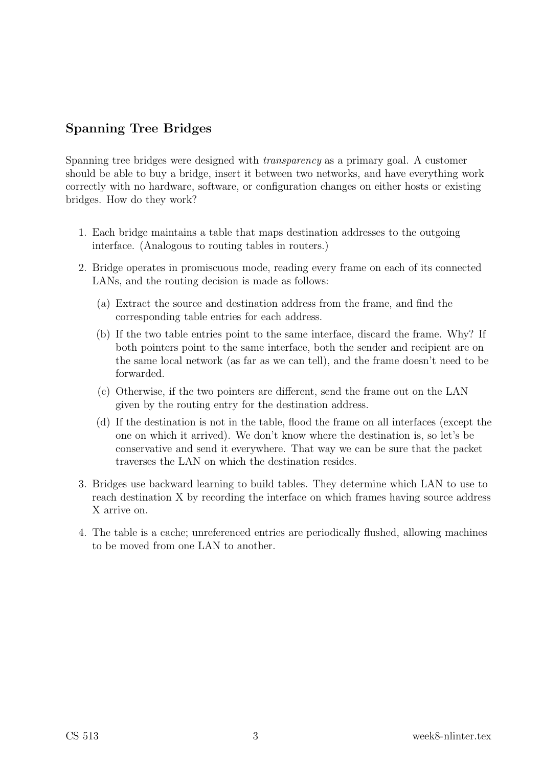## Spanning Tree Bridges

Spanning tree bridges were designed with transparency as a primary goal. A customer should be able to buy a bridge, insert it between two networks, and have everything work correctly with no hardware, software, or configuration changes on either hosts or existing bridges. How do they work?

- 1. Each bridge maintains a table that maps destination addresses to the outgoing interface. (Analogous to routing tables in routers.)
- 2. Bridge operates in promiscuous mode, reading every frame on each of its connected LANs, and the routing decision is made as follows:
	- (a) Extract the source and destination address from the frame, and find the corresponding table entries for each address.
	- (b) If the two table entries point to the same interface, discard the frame. Why? If both pointers point to the same interface, both the sender and recipient are on the same local network (as far as we can tell), and the frame doesn't need to be forwarded.
	- (c) Otherwise, if the two pointers are different, send the frame out on the LAN given by the routing entry for the destination address.
	- (d) If the destination is not in the table, flood the frame on all interfaces (except the one on which it arrived). We don't know where the destination is, so let's be conservative and send it everywhere. That way we can be sure that the packet traverses the LAN on which the destination resides.
- 3. Bridges use backward learning to build tables. They determine which LAN to use to reach destination X by recording the interface on which frames having source address X arrive on.
- 4. The table is a cache; unreferenced entries are periodically flushed, allowing machines to be moved from one LAN to another.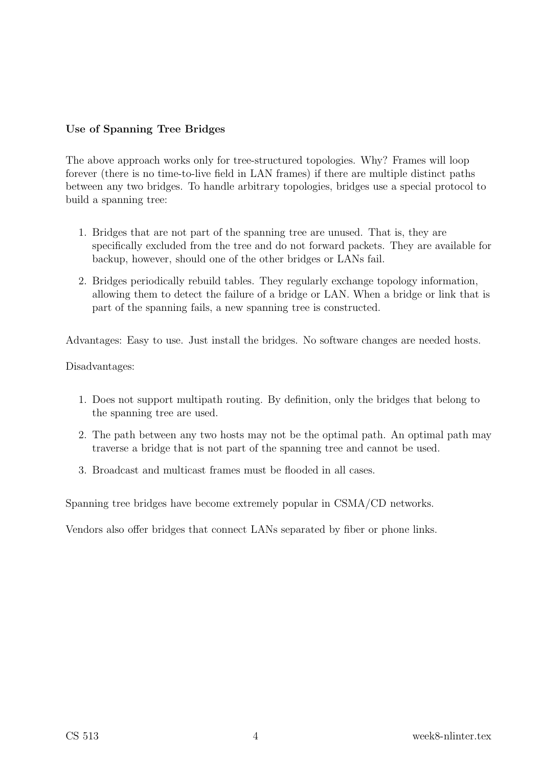### Use of Spanning Tree Bridges

The above approach works only for tree-structured topologies. Why? Frames will loop forever (there is no time-to-live field in LAN frames) if there are multiple distinct paths between any two bridges. To handle arbitrary topologies, bridges use a special protocol to build a spanning tree:

- 1. Bridges that are not part of the spanning tree are unused. That is, they are specifically excluded from the tree and do not forward packets. They are available for backup, however, should one of the other bridges or LANs fail.
- 2. Bridges periodically rebuild tables. They regularly exchange topology information, allowing them to detect the failure of a bridge or LAN. When a bridge or link that is part of the spanning fails, a new spanning tree is constructed.

Advantages: Easy to use. Just install the bridges. No software changes are needed hosts.

Disadvantages:

- 1. Does not support multipath routing. By definition, only the bridges that belong to the spanning tree are used.
- 2. The path between any two hosts may not be the optimal path. An optimal path may traverse a bridge that is not part of the spanning tree and cannot be used.
- 3. Broadcast and multicast frames must be flooded in all cases.

Spanning tree bridges have become extremely popular in CSMA/CD networks.

Vendors also offer bridges that connect LANs separated by fiber or phone links.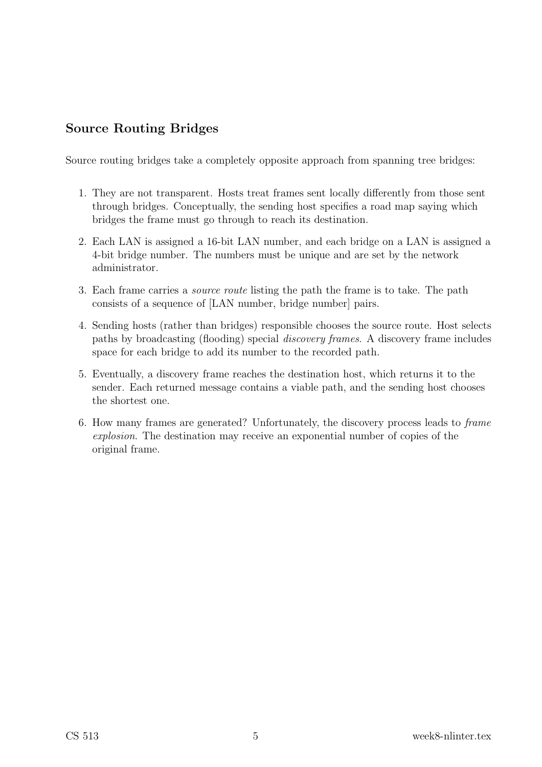## Source Routing Bridges

Source routing bridges take a completely opposite approach from spanning tree bridges:

- 1. They are not transparent. Hosts treat frames sent locally differently from those sent through bridges. Conceptually, the sending host specifies a road map saying which bridges the frame must go through to reach its destination.
- 2. Each LAN is assigned a 16-bit LAN number, and each bridge on a LAN is assigned a 4-bit bridge number. The numbers must be unique and are set by the network administrator.
- 3. Each frame carries a source route listing the path the frame is to take. The path consists of a sequence of [LAN number, bridge number] pairs.
- 4. Sending hosts (rather than bridges) responsible chooses the source route. Host selects paths by broadcasting (flooding) special discovery frames. A discovery frame includes space for each bridge to add its number to the recorded path.
- 5. Eventually, a discovery frame reaches the destination host, which returns it to the sender. Each returned message contains a viable path, and the sending host chooses the shortest one.
- 6. How many frames are generated? Unfortunately, the discovery process leads to frame explosion. The destination may receive an exponential number of copies of the original frame.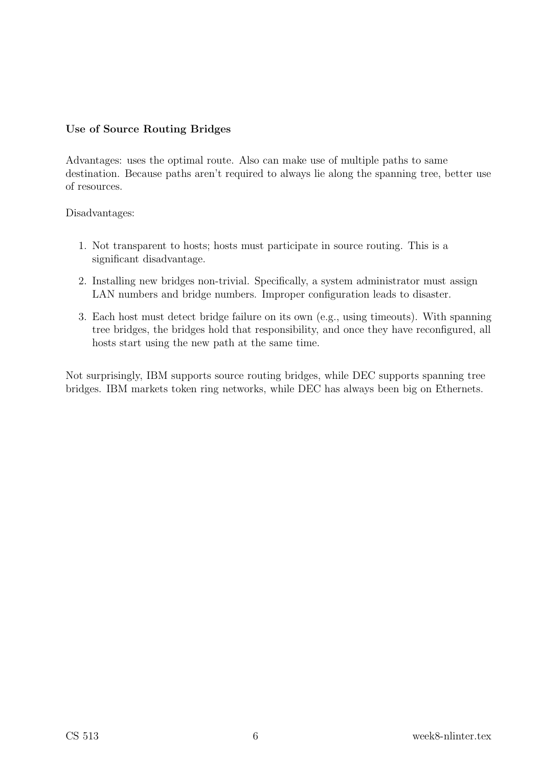#### Use of Source Routing Bridges

Advantages: uses the optimal route. Also can make use of multiple paths to same destination. Because paths aren't required to always lie along the spanning tree, better use of resources.

Disadvantages:

- 1. Not transparent to hosts; hosts must participate in source routing. This is a significant disadvantage.
- 2. Installing new bridges non-trivial. Specifically, a system administrator must assign LAN numbers and bridge numbers. Improper configuration leads to disaster.
- 3. Each host must detect bridge failure on its own (e.g., using timeouts). With spanning tree bridges, the bridges hold that responsibility, and once they have reconfigured, all hosts start using the new path at the same time.

Not surprisingly, IBM supports source routing bridges, while DEC supports spanning tree bridges. IBM markets token ring networks, while DEC has always been big on Ethernets.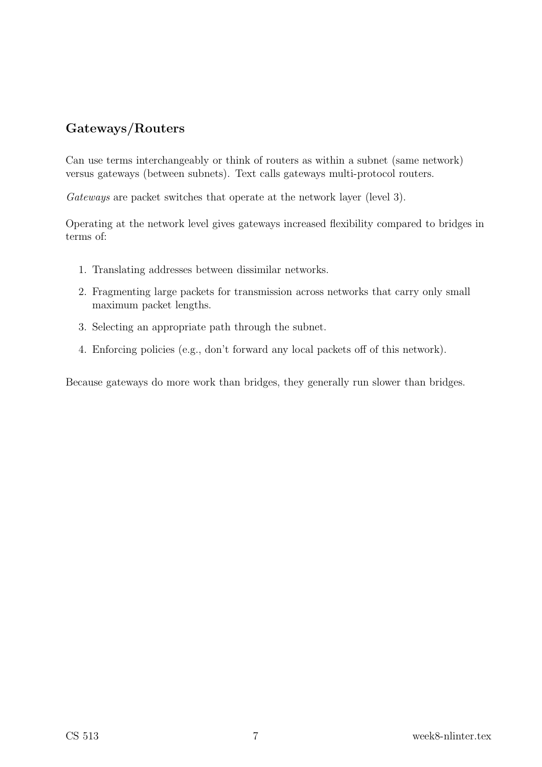## Gateways/Routers

Can use terms interchangeably or think of routers as within a subnet (same network) versus gateways (between subnets). Text calls gateways multi-protocol routers.

Gateways are packet switches that operate at the network layer (level 3).

Operating at the network level gives gateways increased flexibility compared to bridges in terms of:

- 1. Translating addresses between dissimilar networks.
- 2. Fragmenting large packets for transmission across networks that carry only small maximum packet lengths.
- 3. Selecting an appropriate path through the subnet.
- 4. Enforcing policies (e.g., don't forward any local packets off of this network).

Because gateways do more work than bridges, they generally run slower than bridges.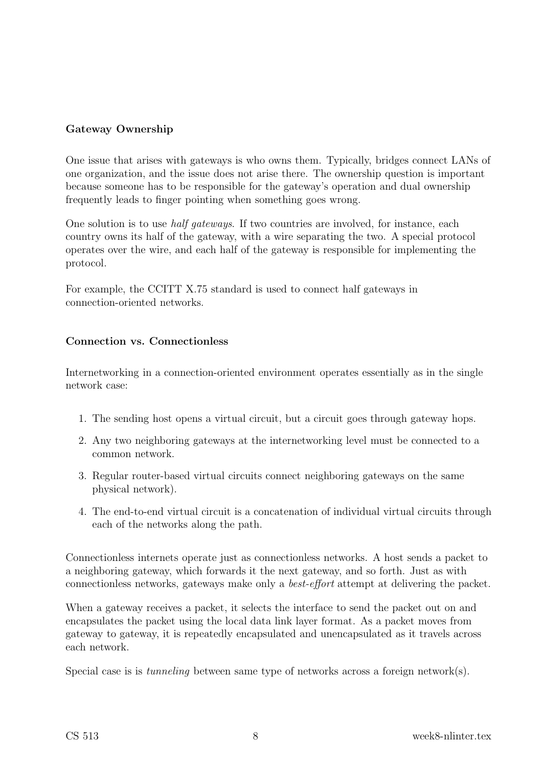### Gateway Ownership

One issue that arises with gateways is who owns them. Typically, bridges connect LANs of one organization, and the issue does not arise there. The ownership question is important because someone has to be responsible for the gateway's operation and dual ownership frequently leads to finger pointing when something goes wrong.

One solution is to use half gateways. If two countries are involved, for instance, each country owns its half of the gateway, with a wire separating the two. A special protocol operates over the wire, and each half of the gateway is responsible for implementing the protocol.

For example, the CCITT X.75 standard is used to connect half gateways in connection-oriented networks.

#### Connection vs. Connectionless

Internetworking in a connection-oriented environment operates essentially as in the single network case:

- 1. The sending host opens a virtual circuit, but a circuit goes through gateway hops.
- 2. Any two neighboring gateways at the internetworking level must be connected to a common network.
- 3. Regular router-based virtual circuits connect neighboring gateways on the same physical network).
- 4. The end-to-end virtual circuit is a concatenation of individual virtual circuits through each of the networks along the path.

Connectionless internets operate just as connectionless networks. A host sends a packet to a neighboring gateway, which forwards it the next gateway, and so forth. Just as with connectionless networks, gateways make only a best-effort attempt at delivering the packet.

When a gateway receives a packet, it selects the interface to send the packet out on and encapsulates the packet using the local data link layer format. As a packet moves from gateway to gateway, it is repeatedly encapsulated and unencapsulated as it travels across each network.

Special case is is *tunneling* between same type of networks across a foreign network(s).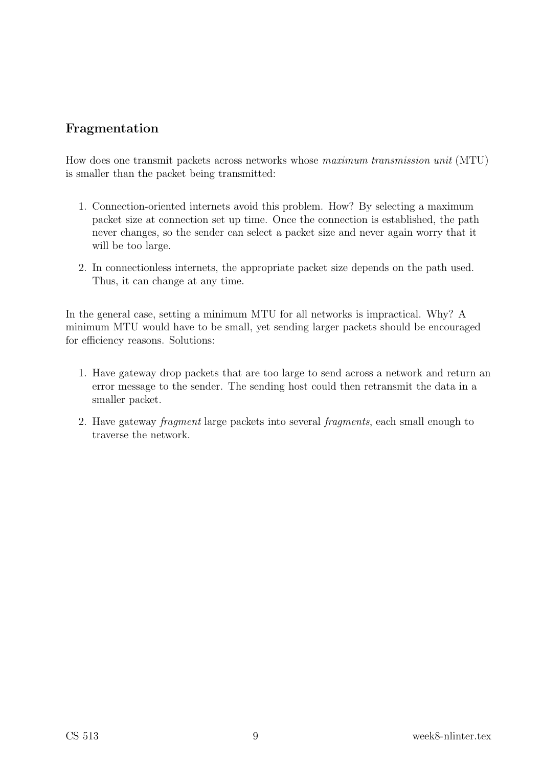## Fragmentation

How does one transmit packets across networks whose maximum transmission unit (MTU) is smaller than the packet being transmitted:

- 1. Connection-oriented internets avoid this problem. How? By selecting a maximum packet size at connection set up time. Once the connection is established, the path never changes, so the sender can select a packet size and never again worry that it will be too large.
- 2. In connectionless internets, the appropriate packet size depends on the path used. Thus, it can change at any time.

In the general case, setting a minimum MTU for all networks is impractical. Why? A minimum MTU would have to be small, yet sending larger packets should be encouraged for efficiency reasons. Solutions:

- 1. Have gateway drop packets that are too large to send across a network and return an error message to the sender. The sending host could then retransmit the data in a smaller packet.
- 2. Have gateway fragment large packets into several fragments, each small enough to traverse the network.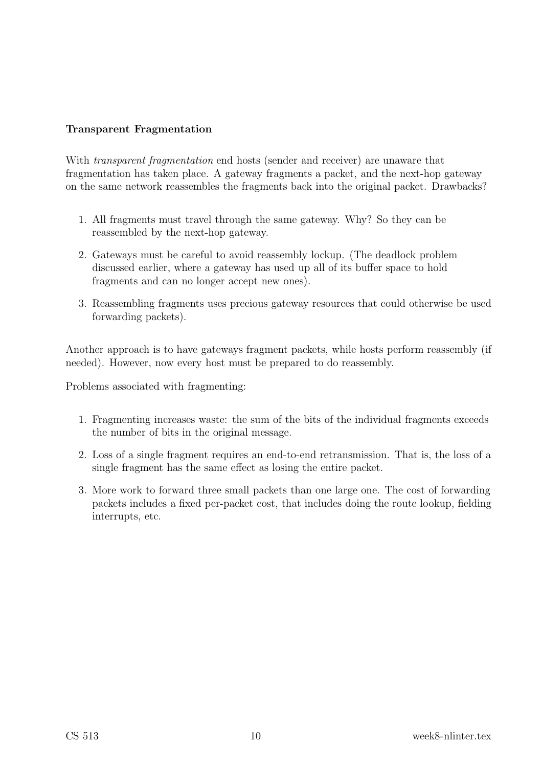### Transparent Fragmentation

With *transparent fragmentation* end hosts (sender and receiver) are unaware that fragmentation has taken place. A gateway fragments a packet, and the next-hop gateway on the same network reassembles the fragments back into the original packet. Drawbacks?

- 1. All fragments must travel through the same gateway. Why? So they can be reassembled by the next-hop gateway.
- 2. Gateways must be careful to avoid reassembly lockup. (The deadlock problem discussed earlier, where a gateway has used up all of its buffer space to hold fragments and can no longer accept new ones).
- 3. Reassembling fragments uses precious gateway resources that could otherwise be used forwarding packets).

Another approach is to have gateways fragment packets, while hosts perform reassembly (if needed). However, now every host must be prepared to do reassembly.

Problems associated with fragmenting:

- 1. Fragmenting increases waste: the sum of the bits of the individual fragments exceeds the number of bits in the original message.
- 2. Loss of a single fragment requires an end-to-end retransmission. That is, the loss of a single fragment has the same effect as losing the entire packet.
- 3. More work to forward three small packets than one large one. The cost of forwarding packets includes a fixed per-packet cost, that includes doing the route lookup, fielding interrupts, etc.